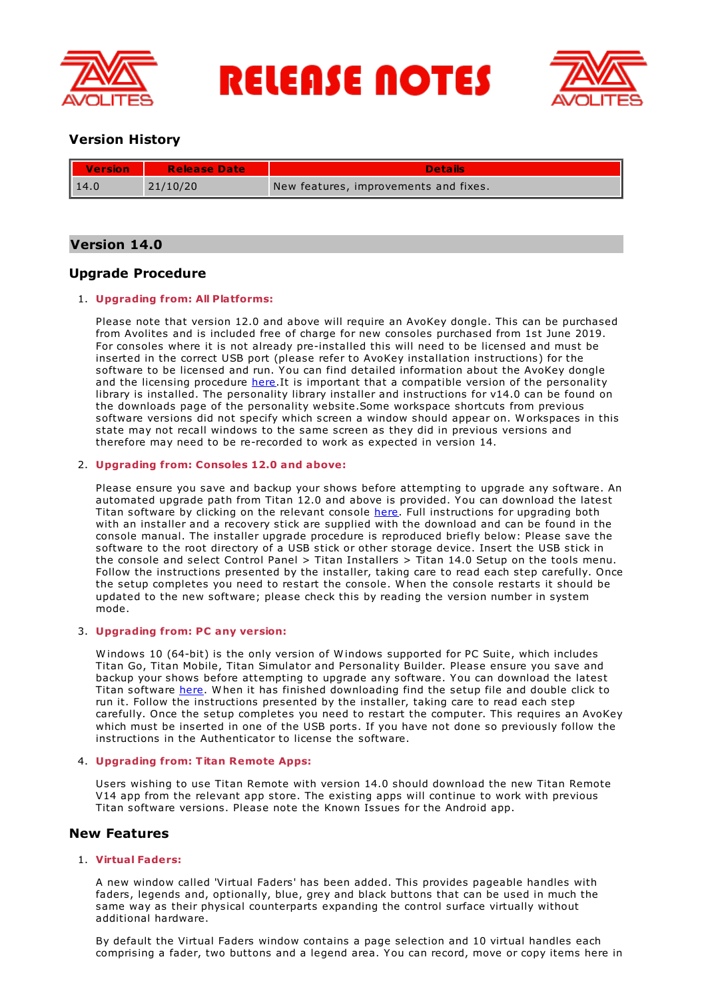

# **RELEASE NOTES**



# **Version History**

| <b>Version</b> | <b>Release Date</b> | Details                               |
|----------------|---------------------|---------------------------------------|
| $\vert$ 14.0   | 21/10/20            | New features, improvements and fixes. |

# **Version 14.0**

# **Upgrade Procedure**

# 1. **Upgrading from: All Platforms:**

Please note that version 12.0 and above will require an AvoKey dongle. This can be purchased from Avolites and is included free of charge for new consoles purchased from 1st June 2019. For consoles where it is not already pre-installed this will need to be licensed and must be inserted in the correct USB port (please refer to AvoKey installation instructions) for the software to be licensed and run. You can find detailed information about the AvoKey dongle and the licensing procedure [here](https://www.avolites.com/avokey).It is important that a compatible version of the personality library is installed. The personality library installer and instructions for v14.0 can be found on the downloads page of the personality website.Some workspace shortcuts from previous software versions did not specify which screen a window should appear on. W orkspaces in this state may not recall windows to the same screen as they did in previous versions and therefore may need to be re-recorded to work as expected in version 14.

## 2. **Upgrading from: Consoles 12.0 and above:**

Please ensure you save and backup your shows before attempting to upgrade any software. An automated upgrade path from Titan 12.0 and above is provided. You can download the latest Titan software by clicking on the relevant console [here](http://www.avolites.com/software/latest-version). Full instructions for upgrading both with an installer and a recovery stick are supplied with the download and can be found in the console manual. The installer upgrade procedure is reproduced briefly below: Please save the software to the root directory of a USB stick or other storage device. Insert the USB stick in the console and select Control Panel > Titan Installers > Titan 14.0 Setup on the tools menu. Follow the instructions presented by the installer, taking care to read each step carefully. Once the setup completes you need to restart the console. W hen the console restarts it should be updated to the new software; please check this by reading the version number in system mode.

# 3. **Upgrading from: PC any version:**

W indows 10 (64-bit) is the only version of W indows supported for PC Suite, which includes Titan Go, Titan Mobile, Titan Simulator and Personality Builder. Please ensure you save and backup your shows before attempting to upgrade any software. You can download the latest Titan software [here](http://www.avolites.com/software/latest-version). When it has finished downloading find the setup file and double click to run it. Follow the instructions presented by the installer, taking care to read each step carefully. Once the setup completes you need to restart the computer. This requires an AvoKey which must be inserted in one of the USB ports. If you have not done so previously follow the instructions in the Authenticator to license the software.

## 4. **Upgrading from: Titan Remote Apps:**

Users wishing to use Titan Remote with version 14.0 should download the new Titan Remote V14 app from the relevant app store. The existing apps will continue to work with previous Titan software versions. Please note the Known Issues for the Android app.

# **New Features**

## 1. **Virtual Faders:**

A new window called 'Virtual Faders' has been added. This provides pageable handles with faders, legends and, optionally, blue, grey and black buttons that can be used in much the same way as their physical counterparts expanding the control surface virtually without additional hardware.

By default the Virtual Faders window contains a page selection and 10 virtual handles each comprising a fader, two buttons and a legend area. You can record, move or copy items here in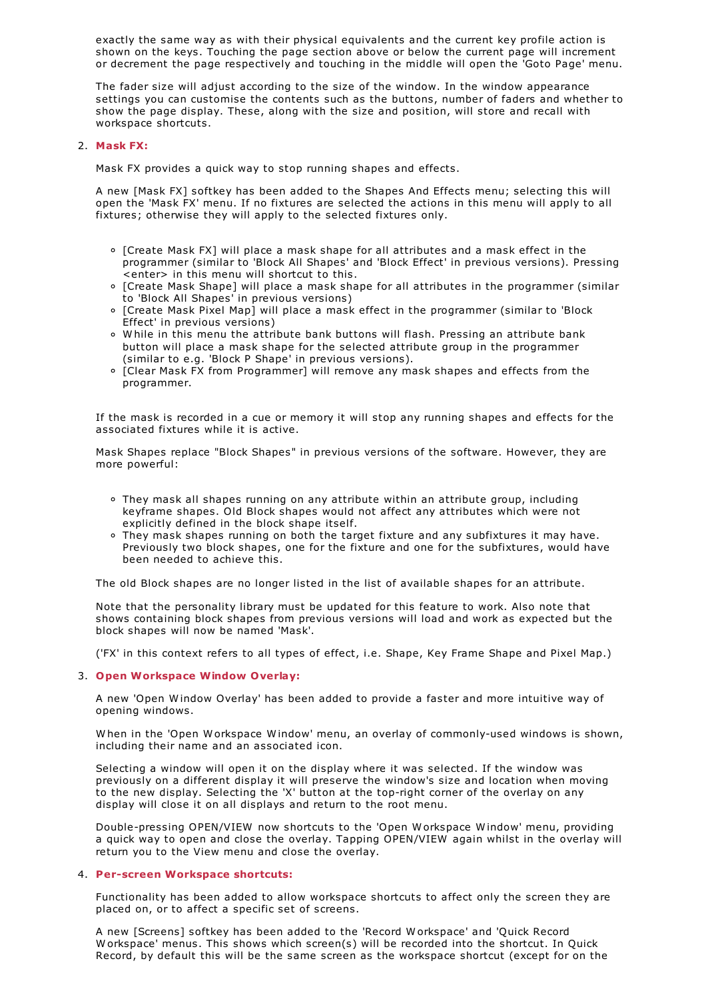exactly the same way as with their physical equivalents and the current key profile action is shown on the keys. Touching the page section above or below the current page will increment or decrement the page respectively and touching in the middle will open the 'Goto Page' menu.

The fader size will adjust according to the size of the window. In the window appearance settings you can customise the contents such as the buttons, number of faders and whether to show the page display. These, along with the size and position, will store and recall with workspace shortcuts.

## 2. **Mask FX:**

Mask FX provides a quick way to stop running shapes and effects.

A new [Mask FX] softkey has been added to the Shapes And Effects menu; selecting this will open the 'Mask FX' menu. If no fixtures are selected the actions in this menu will apply to all fixtures; otherwise they will apply to the selected fixtures only.

- [Create Mask FX] will place a mask shape for all attributes and a mask effect in the programmer (similar to 'Block All Shapes' and 'Block Effect' in previous versions). Pressing <enter> in this menu will shortcut to this.
- [Create Mask Shape] will place a mask shape for all attributes in the programmer (similar to 'Block All Shapes' in previous versions)
- [Create Mask Pixel Map] will place a mask effect in the programmer (similar to 'Block Effect' in previous versions)
- W hile in this menu the attribute bank buttons will flash. Pressing an attribute bank button will place a mask shape for the selected attribute group in the programmer (similar to e.g. 'Block P Shape' in previous versions).
- [Clear Mask FX from Programmer] will remove any mask shapes and effects from the programmer.

If the mask is recorded in a cue or memory it will stop any running shapes and effects for the associated fixtures while it is active.

Mask Shapes replace "Block Shapes" in previous versions of the software. However, they are more powerful:

- They mask all shapes running on any attribute within an attribute group, including keyframe shapes. Old Block shapes would not affect any attributes which were not explicitly defined in the block shape itself.
- They mask shapes running on both the target fixture and any subfixtures it may have. Previously two block shapes, one for the fixture and one for the subfixtures, would have been needed to achieve this.

The old Block shapes are no longer listed in the list of available shapes for an attribute.

Note that the personality library must be updated for this feature to work. Also note that shows containing block shapes from previous versions will load and work as expected but the block shapes will now be named 'Mask'.

('FX' in this context refers to all types of effect, i.e. Shape, Key Frame Shape and Pixel Map.)

## 3. **Open Workspace Window Overlay:**

A new 'Open W indow Overlay' has been added to provide a faster and more intuitive way of opening windows.

W hen in the 'Open W orkspace W indow' menu, an overlay of commonly-used windows is shown, including their name and an associated icon.

Selecting a window will open it on the display where it was selected. If the window was previously on a different display it will preserve the window's size and location when moving to the new display. Selecting the 'X' button at the top-right corner of the overlay on any display will close it on all displays and return to the root menu.

Double-pressing OPEN/VIEW now shortcuts to the 'Open W orkspace W indow' menu, providing a quick way to open and close the overlay. Tapping OPEN/VIEW again whilst in the overlay will return you to the View menu and close the overlay.

## 4. **Per-screen Workspace shortcuts:**

Functionality has been added to allow workspace shortcuts to affect only the screen they are placed on, or to affect a specific set of screens.

A new [Screens] softkey has been added to the 'Record W orkspace' and 'Quick Record W orkspace' menus. This shows which screen(s) will be recorded into the shortcut. In Quick Record, by default this will be the same screen as the workspace shortcut (except for on the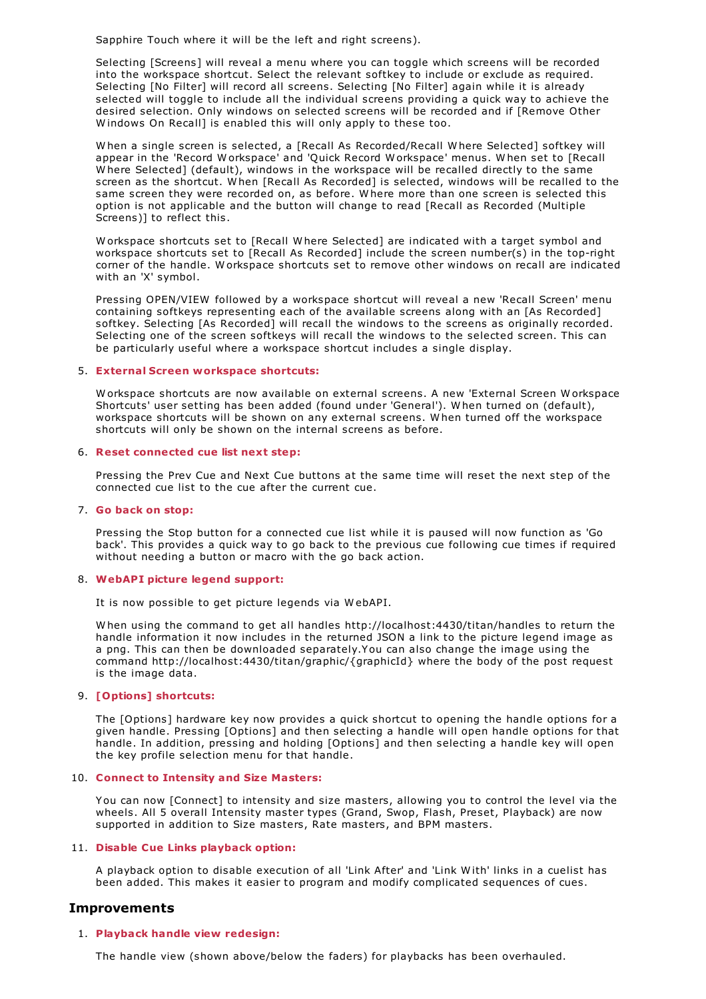Sapphire Touch where it will be the left and right screens).

Selecting [Screens] will reveal a menu where you can toggle which screens will be recorded into the workspace shortcut. Select the relevant softkey to include or exclude as required. Selecting [No Filter] will record all screens. Selecting [No Filter] again while it is already selected will toggle to include all the individual screens providing a quick way to achieve the desired selection. Only windows on selected screens will be recorded and if [Remove Other W indows On Recall] is enabled this will only apply to these too.

W hen a single screen is selected, a [Recall As Recorded/Recall W here Selected] softkey will appear in the 'Record W orkspace' and 'Quick Record W orkspace' menus. W hen set to [Recall W here Selected] (default), windows in the workspace will be recalled directly to the same screen as the shortcut. W hen [Recall As Recorded] is selected, windows will be recalled to the same screen they were recorded on, as before. W here more than one screen is selected this option is not applicable and the button will change to read [Recall as Recorded (Multiple Screens)] to reflect this.

W orkspace shortcuts set to [Recall W here Selected] are indicated with a target symbol and workspace shortcuts set to [Recall As Recorded] include the screen number(s) in the top-right corner of the handle. W orkspace shortcuts set to remove other windows on recall are indicated with an 'X' symbol.

Pressing OPEN/VIEW followed by a workspace shortcut will reveal a new 'Recall Screen' menu containing softkeys representing each of the available screens along with an [As Recorded] softkey. Selecting [As Recorded] will recall the windows to the screens as originally recorded. Selecting one of the screen softkeys will recall the windows to the selected screen. This can be particularly useful where a workspace shortcut includes a single display.

#### 5. **External Screen workspace shortcuts:**

W orkspace shortcuts are now available on external screens. A new 'External Screen W orkspace Shortcuts' user setting has been added (found under 'General'). W hen turned on (default), workspace shortcuts will be shown on any external screens. W hen turned off the workspace shortcuts will only be shown on the internal screens as before.

## 6. **Reset connected cue list next step:**

Pressing the Prev Cue and Next Cue buttons at the same time will reset the next step of the connected cue list to the cue after the current cue.

#### 7. **Go back on stop:**

Pressing the Stop button for a connected cue list while it is paused will now function as 'Go back'. This provides a quick way to go back to the previous cue following cue times if required without needing a button or macro with the go back action.

## 8. **WebAPI picture legend support:**

It is now possible to get picture legends via W ebAPI.

W hen using the command to get all handles http://localhost:4430/titan/handles to return the handle information it now includes in the returned JSON a link to the picture legend image as a png. This can then be downloaded separately.You can also change the image using the command http://localhost:4430/titan/graphic/{graphicId} where the body of the post request is the image data.

## 9. **[Options] shortcuts:**

The [Options] hardware key now provides a quick shortcut to opening the handle options for a given handle. Pressing [Options] and then selecting a handle will open handle options for that handle. In addition, pressing and holding [Options] and then selecting a handle key will open the key profile selection menu for that handle.

#### 10. **Connect to Intensity and Size Masters:**

You can now [Connect] to intensity and size masters, allowing you to control the level via the wheels. All 5 overall Intensity master types (Grand, Swop, Flash, Preset, Playback) are now supported in addition to Size masters, Rate masters, and BPM masters.

## 11. **Disable Cue Links playback option:**

A playback option to disable execution of all 'Link After' and 'Link W ith' links in a cuelist has been added. This makes it easier to program and modify complicated sequences of cues.

# **Improvements**

## 1. **Playback handle view redesign:**

The handle view (shown above/below the faders) for playbacks has been overhauled.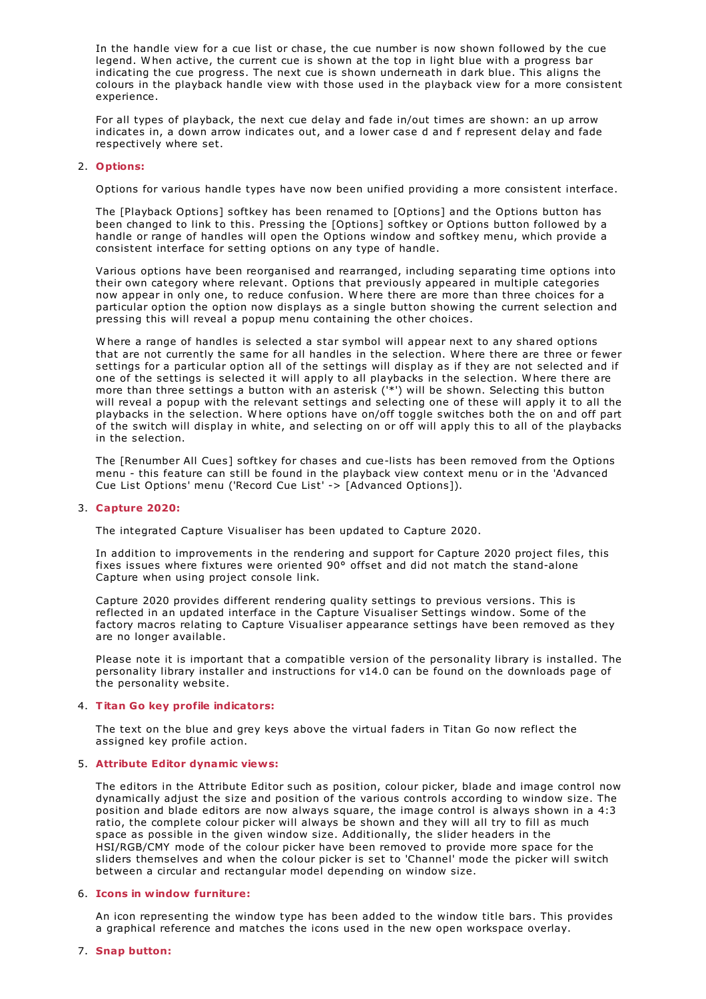In the handle view for a cue list or chase, the cue number is now shown followed by the cue legend. W hen active, the current cue is shown at the top in light blue with a progress bar indicating the cue progress. The next cue is shown underneath in dark blue. This aligns the colours in the playback handle view with those used in the playback view for a more consistent experience.

For all types of playback, the next cue delay and fade in/out times are shown: an up arrow indicates in, a down arrow indicates out, and a lower case d and f represent delay and fade respectively where set.

## 2. **Options:**

Options for various handle types have now been unified providing a more consistent interface.

The [Playback Options] softkey has been renamed to [Options] and the Options button has been changed to link to this. Pressing the [Options] softkey or Options button followed by a handle or range of handles will open the Options window and softkey menu, which provide a consistent interface for setting options on any type of handle.

Various options have been reorganised and rearranged, including separating time options into their own category where relevant. Options that previously appeared in multiple categories now appear in only one, to reduce confusion. W here there are more than three choices for a particular option the option now displays as a single button showing the current selection and pressing this will reveal a popup menu containing the other choices.

W here a range of handles is selected a star symbol will appear next to any shared options that are not currently the same for all handles in the selection. W here there are three or fewer settings for a particular option all of the settings will display as if they are not selected and if one of the settings is selected it will apply to all playbacks in the selection. W here there are more than three settings a button with an asterisk ('\*') will be shown. Selecting this button will reveal a popup with the relevant settings and selecting one of these will apply it to all the playbacks in the selection. W here options have on/off toggle switches both the on and off part of the switch will display in white, and selecting on or off will apply this to all of the playbacks in the selection.

The [Renumber All Cues] softkey for chases and cue-lists has been removed from the Options menu - this feature can still be found in the playback view context menu or in the 'Advanced Cue List Options' menu ('Record Cue List' -> [Advanced Options]).

#### 3. **Capture 2020:**

The integrated Capture Visualiser has been updated to Capture 2020.

In addition to improvements in the rendering and support for Capture 2020 project files, this fixes issues where fixtures were oriented 90° offset and did not match the stand-alone Capture when using project console link.

Capture 2020 provides different rendering quality settings to previous versions. This is reflected in an updated interface in the Capture Visualiser Settings window. Some of the factory macros relating to Capture Visualiser appearance settings have been removed as they are no longer available.

Please note it is important that a compatible version of the personality library is installed. The personality library installer and instructions for v14.0 can be found on the downloads page of the personality website.

## 4. **Titan Go key profile indicators:**

The text on the blue and grey keys above the virtual faders in Titan Go now reflect the assigned key profile action.

#### 5. **Attribute Editor dynamic views:**

The editors in the Attribute Editor such as position, colour picker, blade and image control now dynamically adjust the size and position of the various controls according to window size. The position and blade editors are now always square, the image control is always shown in a 4:3 ratio, the complete colour picker will always be shown and they will all try to fill as much space as possible in the given window size. Additionally, the slider headers in the HSI/RGB/CMY mode of the colour picker have been removed to provide more space for the sliders themselves and when the colour picker is set to 'Channel' mode the picker will switch between a circular and rectangular model depending on window size.

#### 6. **Icons in window furniture:**

An icon representing the window type has been added to the window title bars. This provides a graphical reference and matches the icons used in the new open workspace overlay.

## 7. **Snap button:**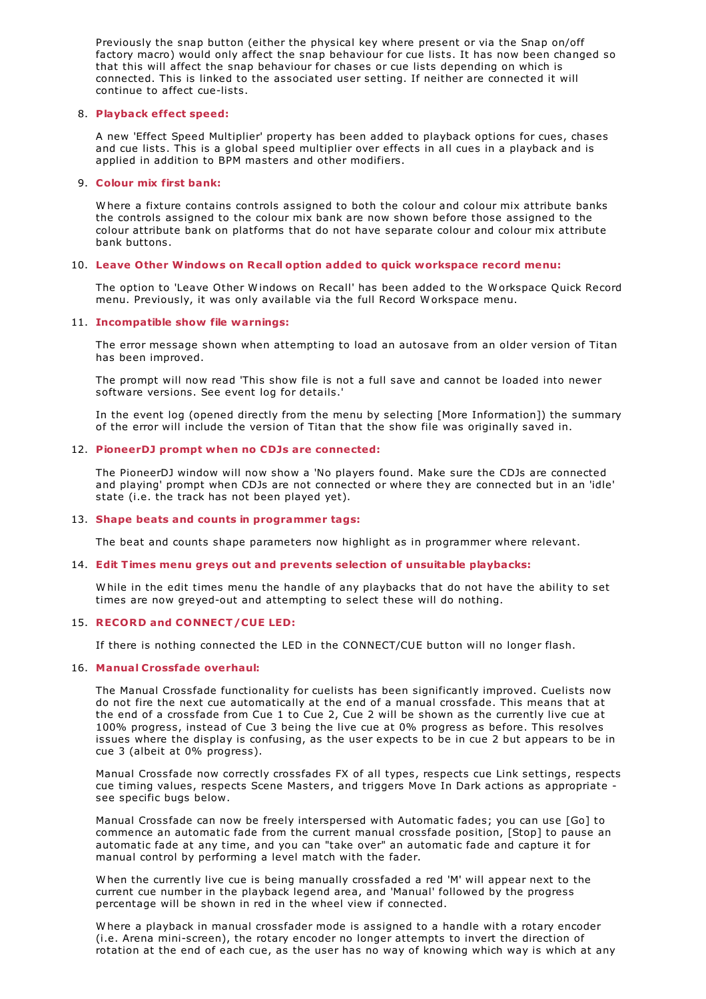Previously the snap button (either the physical key where present or via the Snap on/off factory macro) would only affect the snap behaviour for cue lists. It has now been changed so that this will affect the snap behaviour for chases or cue lists depending on which is connected. This is linked to the associated user setting. If neither are connected it will continue to affect cue-lists.

## 8. **Playback effect speed:**

A new 'Effect Speed Multiplier' property has been added to playback options for cues, chases and cue lists. This is a global speed multiplier over effects in all cues in a playback and is applied in addition to BPM masters and other modifiers.

## 9. **Colour mix first bank:**

W here a fixture contains controls assigned to both the colour and colour mix attribute banks the controls assigned to the colour mix bank are now shown before those assigned to the colour attribute bank on platforms that do not have separate colour and colour mix attribute bank buttons.

## 10. **Leave Other Windows on Recall option added to quick workspace record menu:**

The option to 'Leave Other W indows on Recall' has been added to the W orkspace Quick Record menu. Previously, it was only available via the full Record W orkspace menu.

## 11. **Incompatible show file warnings:**

The error message shown when attempting to load an autosave from an older version of Titan has been improved.

The prompt will now read 'This show file is not a full save and cannot be loaded into newer software versions. See event log for details.'

In the event log (opened directly from the menu by selecting [More Information]) the summary of the error will include the version of Titan that the show file was originally saved in.

## 12. **PioneerDJ prompt when no CDJs are connected:**

The PioneerDJ window will now show a 'No players found. Make sure the CDJs are connected and playing' prompt when CDJs are not connected or where they are connected but in an 'idle' state (i.e. the track has not been played yet).

## 13. **Shape beats and counts in programmer tags:**

The beat and counts shape parameters now highlight as in programmer where relevant.

## 14. **Edit Times menu greys out and prevents selection of unsuitable playbacks:**

W hile in the edit times menu the handle of any playbacks that do not have the ability to set times are now greyed-out and attempting to select these will do nothing.

## 15. **RECORD and CONNECT/CUE LED:**

If there is nothing connected the LED in the CONNECT/CUE button will no longer flash.

## 16. **Manual Crossfade overhaul:**

The Manual Crossfade functionality for cuelists has been significantly improved. Cuelists now do not fire the next cue automatically at the end of a manual crossfade. This means that at the end of a crossfade from Cue 1 to Cue 2, Cue 2 will be shown as the currently live cue at 100% progress, instead of Cue 3 being the live cue at 0% progress as before. This resolves issues where the display is confusing, as the user expects to be in cue 2 but appears to be in cue 3 (albeit at 0% progress).

Manual Crossfade now correctly crossfades FX of all types, respects cue Link settings, respects cue timing values, respects Scene Masters, and triggers Move In Dark actions as appropriate see specific bugs below.

Manual Crossfade can now be freely interspersed with Automatic fades; you can use [Go] to commence an automatic fade from the current manual crossfade position, [Stop] to pause an automatic fade at any time, and you can "take over" an automatic fade and capture it for manual control by performing a level match with the fader.

W hen the currently live cue is being manually crossfaded a red 'M' will appear next to the current cue number in the playback legend area, and 'Manual' followed by the progress percentage will be shown in red in the wheel view if connected.

W here a playback in manual crossfader mode is assigned to a handle with a rotary encoder (i.e. Arena mini-screen), the rotary encoder no longer attempts to invert the direction of rotation at the end of each cue, as the user has no way of knowing which way is which at any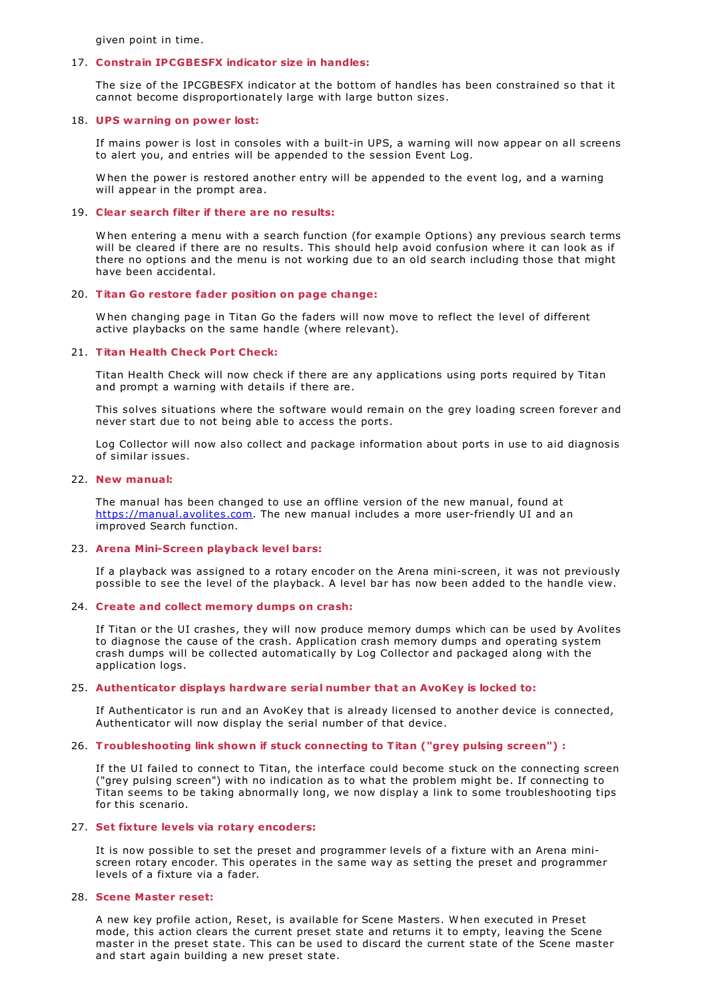given point in time.

#### 17. **Constrain IPCGBESFX indicator size in handles:**

The size of the IPCGBESFX indicator at the bottom of handles has been constrained so that it cannot become disproportionately large with large button sizes.

#### 18. **UPS warning on power lost:**

If mains power is lost in consoles with a built-in UPS, a warning will now appear on all screens to alert you, and entries will be appended to the session Event Log.

W hen the power is restored another entry will be appended to the event log, and a warning will appear in the prompt area.

#### 19. **Clear search filter if there are no results:**

W hen entering a menu with a search function (for example Options) any previous search terms will be cleared if there are no results. This should help avoid confusion where it can look as if there no options and the menu is not working due to an old search including those that might have been accidental.

## 20. **Titan Go restore fader position on page change:**

W hen changing page in Titan Go the faders will now move to reflect the level of different active playbacks on the same handle (where relevant).

## 21. **Titan Health Check Port Check:**

Titan Health Check will now check if there are any applications using ports required by Titan and prompt a warning with details if there are.

This solves situations where the software would remain on the grey loading screen forever and never start due to not being able to access the ports.

Log Collector will now also collect and package information about ports in use to aid diagnosis of similar issues.

## 22. **New manual:**

The manual has been changed to use an offline version of the new manual, found at <https://manual.avolites.com>. The new manual includes a more user-friendly UI and an improved Search function.

#### 23. **Arena Mini-Screen playback level bars:**

If a playback was assigned to a rotary encoder on the Arena mini-screen, it was not previously possible to see the level of the playback. A level bar has now been added to the handle view.

## 24. **Create and collect memory dumps on crash:**

If Titan or the UI crashes, they will now produce memory dumps which can be used by Avolites to diagnose the cause of the crash. Application crash memory dumps and operating system crash dumps will be collected automatically by Log Collector and packaged along with the application logs.

#### 25. **Authenticator displays hardware serial number that an AvoKey is locked to:**

If Authenticator is run and an AvoKey that is already licensed to another device is connected, Authenticator will now display the serial number of that device.

## 26. **Troubleshooting link shown if stuck connecting to Titan ("grey pulsing screen") :**

If the UI failed to connect to Titan, the interface could become stuck on the connecting screen ("grey pulsing screen") with no indication as to what the problem might be. If connecting to Titan seems to be taking abnormally long, we now display a link to some troubleshooting tips for this scenario.

## 27. **Set fixture levels via rotary encoders:**

It is now possible to set the preset and programmer levels of a fixture with an Arena miniscreen rotary encoder. This operates in the same way as setting the preset and programmer levels of a fixture via a fader.

## 28. **Scene Master reset:**

A new key profile action, Reset, is available for Scene Masters. W hen executed in Preset mode, this action clears the current preset state and returns it to empty, leaving the Scene master in the preset state. This can be used to discard the current state of the Scene master and start again building a new preset state.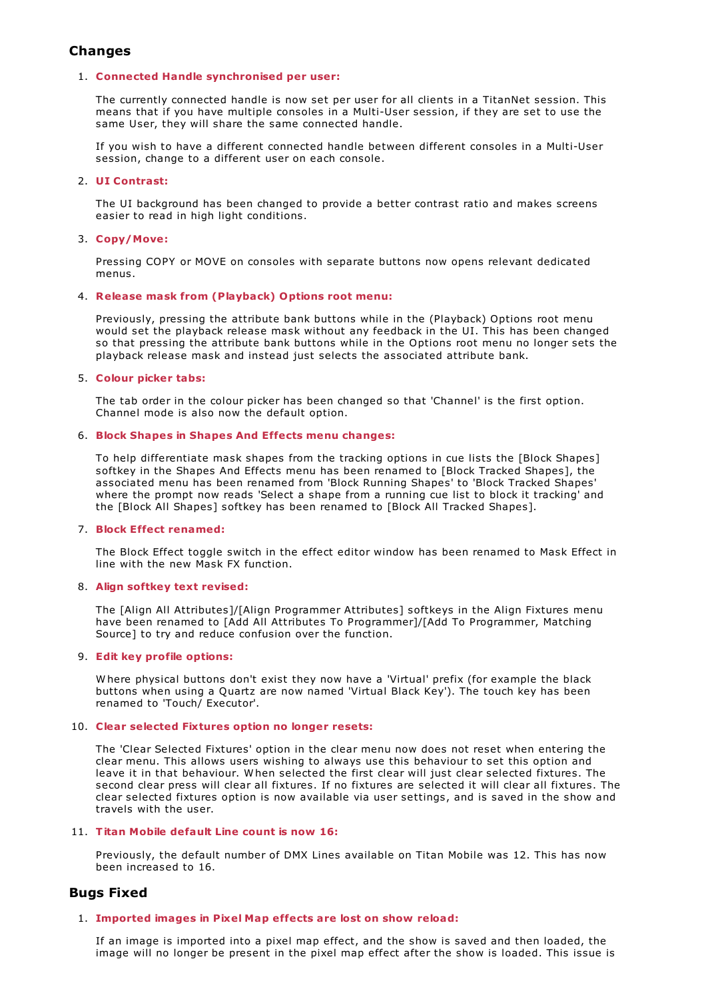# **Changes**

## 1. **Connected Handle synchronised per user:**

The currently connected handle is now set per user for all clients in a TitanNet session. This means that if you have multiple consoles in a Multi-User session, if they are set to use the same User, they will share the same connected handle.

If you wish to have a different connected handle between different consoles in a Multi-User session, change to a different user on each console.

## 2. **UI Contrast:**

The UI background has been changed to provide a better contrast ratio and makes screens easier to read in high light conditions.

## 3. **Copy/Move:**

Pressing COPY or MOVE on consoles with separate buttons now opens relevant dedicated menus.

## 4. **Release mask from (Playback) Options root menu:**

Previously, pressing the attribute bank buttons while in the (Playback) Options root menu would set the playback release mask without any feedback in the UI. This has been changed so that pressing the attribute bank buttons while in the Options root menu no longer sets the playback release mask and instead just selects the associated attribute bank.

## 5. **Colour picker tabs:**

The tab order in the colour picker has been changed so that 'Channel' is the first option. Channel mode is also now the default option.

## 6. **Block Shapes in Shapes And Effects menu changes:**

To help differentiate mask shapes from the tracking options in cue lists the [Block Shapes] softkey in the Shapes And Effects menu has been renamed to [Block Tracked Shapes], the associated menu has been renamed from 'Block Running Shapes' to 'Block Tracked Shapes' where the prompt now reads 'Select a shape from a running cue list to block it tracking' and the [Block All Shapes] softkey has been renamed to [Block All Tracked Shapes].

## 7. **Block Effect renamed:**

The Block Effect toggle switch in the effect editor window has been renamed to Mask Effect in line with the new Mask FX function.

## 8. **Align softkey text revised:**

The [Align All Attributes]/[Align Programmer Attributes] softkeys in the Align Fixtures menu have been renamed to [Add All Attributes To Programmer]/[Add To Programmer, Matching Source] to try and reduce confusion over the function.

## 9. **Edit key profile options:**

W here physical buttons don't exist they now have a 'Virtual' prefix (for example the black buttons when using a Quartz are now named 'Virtual Black Key'). The touch key has been renamed to 'Touch/ Executor'.

## 10. **Clear selected Fixtures option no longer resets:**

The 'Clear Selected Fixtures' option in the clear menu now does not reset when entering the clear menu. This allows users wishing to always use this behaviour to set this option and leave it in that behaviour. W hen selected the first clear will just clear selected fixtures. The second clear press will clear all fixtures. If no fixtures are selected it will clear all fixtures. The clear selected fixtures option is now available via user settings, and is saved in the show and travels with the user.

## 11. **Titan Mobile default Line count is now 16:**

Previously, the default number of DMX Lines available on Titan Mobile was 12. This has now been increased to 16.

# **Bugs Fixed**

## 1. **Imported images in Pixel Map effects are lost on show reload:**

If an image is imported into a pixel map effect, and the show is saved and then loaded, the image will no longer be present in the pixel map effect after the show is loaded. This issue is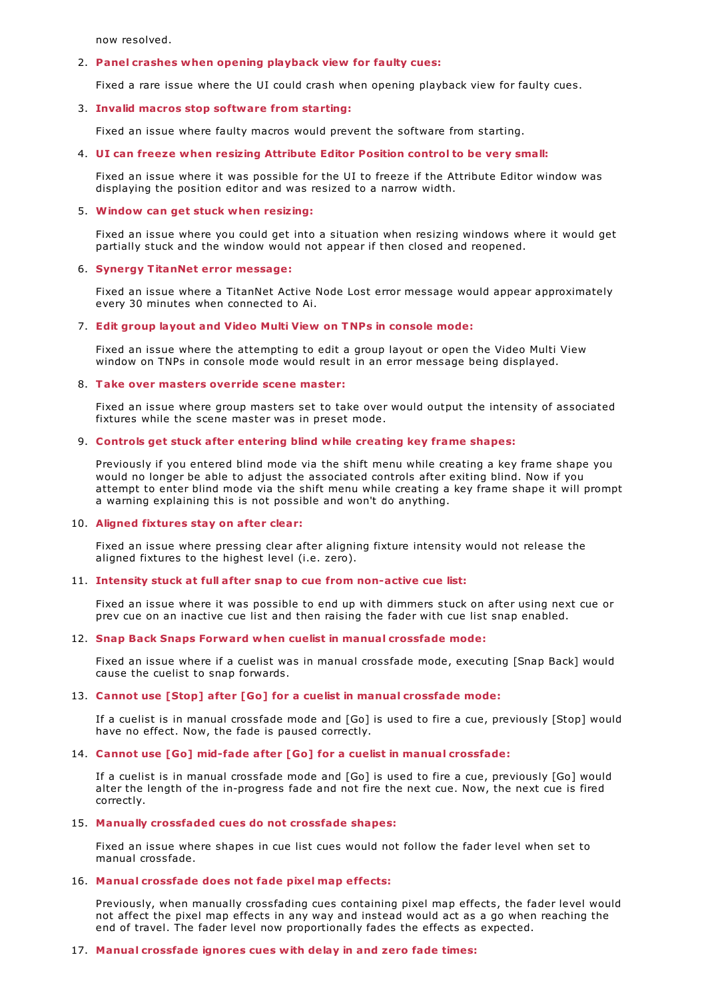now resolved.

#### 2. **Panel crashes when opening playback view for faulty cues:**

Fixed a rare issue where the UI could crash when opening playback view for faulty cues.

#### 3. **Invalid macros stop software from starting:**

Fixed an issue where faulty macros would prevent the software from starting.

#### 4. **UI can freeze when resizing Attribute Editor Position control to be very small:**

Fixed an issue where it was possible for the UI to freeze if the Attribute Editor window was displaying the position editor and was resized to a narrow width.

#### 5. **Window can get stuck when resizing:**

Fixed an issue where you could get into a situation when resizing windows where it would get partially stuck and the window would not appear if then closed and reopened.

#### 6. **Synergy TitanNet error message:**

Fixed an issue where a TitanNet Active Node Lost error message would appear approximately every 30 minutes when connected to Ai.

## 7. **Edit group layout and Video Multi View on TNPs in console mode:**

Fixed an issue where the attempting to edit a group layout or open the Video Multi View window on TNPs in console mode would result in an error message being displayed.

## 8. **Take over masters override scene master:**

Fixed an issue where group masters set to take over would output the intensity of associated fixtures while the scene master was in preset mode.

#### 9. **Controls get stuck after entering blind while creating key frame shapes:**

Previously if you entered blind mode via the shift menu while creating a key frame shape you would no longer be able to adjust the associated controls after exiting blind. Now if you attempt to enter blind mode via the shift menu while creating a key frame shape it will prompt a warning explaining this is not possible and won't do anything.

## 10. **Aligned fixtures stay on after clear:**

Fixed an issue where pressing clear after aligning fixture intensity would not release the aligned fixtures to the highest level (i.e. zero).

#### 11. **Intensity stuck at full after snap to cue from non-active cue list:**

Fixed an issue where it was possible to end up with dimmers stuck on after using next cue or prev cue on an inactive cue list and then raising the fader with cue list snap enabled.

#### 12. **Snap Back Snaps Forward when cuelist in manual crossfade mode:**

Fixed an issue where if a cuelist was in manual crossfade mode, executing [Snap Back] would cause the cuelist to snap forwards.

#### 13. **Cannot use [Stop] after [Go] for a cuelist in manual crossfade mode:**

If a cuelist is in manual crossfade mode and [Go] is used to fire a cue, previously [Stop] would have no effect. Now, the fade is paused correctly.

#### 14. **Cannot use [Go] mid-fade after [Go] for a cuelist in manual crossfade:**

If a cuelist is in manual crossfade mode and [Go] is used to fire a cue, previously [Go] would alter the length of the in-progress fade and not fire the next cue. Now, the next cue is fired correctly.

## 15. **Manually crossfaded cues do not crossfade shapes:**

Fixed an issue where shapes in cue list cues would not follow the fader level when set to manual crossfade.

#### 16. **Manual crossfade does not fade pixel map effects:**

Previously, when manually crossfading cues containing pixel map effects, the fader level would not affect the pixel map effects in any way and instead would act as a go when reaching the end of travel. The fader level now proportionally fades the effects as expected.

#### 17. **Manual crossfade ignores cues with delay in and zero fade times:**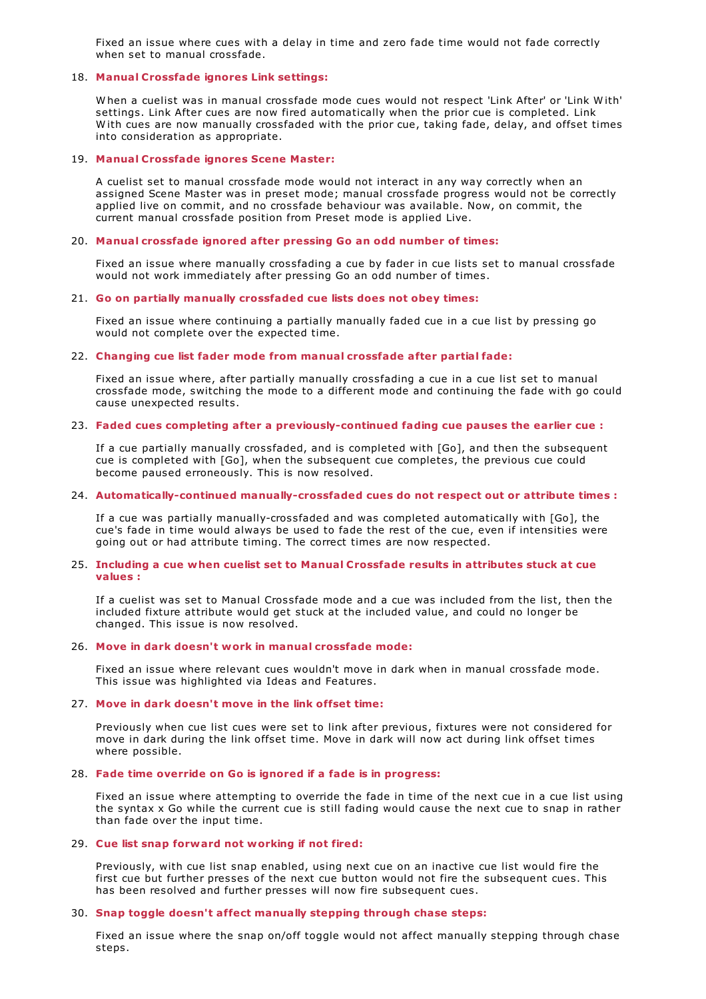Fixed an issue where cues with a delay in time and zero fade time would not fade correctly when set to manual crossfade.

### 18. **Manual Crossfade ignores Link settings:**

W hen a cuelist was in manual crossfade mode cues would not respect 'Link After' or 'Link W ith' settings. Link After cues are now fired automatically when the prior cue is completed. Link With cues are now manually crossfaded with the prior cue, taking fade, delay, and offset times into consideration as appropriate.

#### 19. **Manual Crossfade ignores Scene Master:**

A cuelist set to manual crossfade mode would not interact in any way correctly when an assigned Scene Master was in preset mode; manual crossfade progress would not be correctly applied live on commit, and no crossfade behaviour was available. Now, on commit, the current manual crossfade position from Preset mode is applied Live.

## 20. **Manual crossfade ignored after pressing Go an odd number of times:**

Fixed an issue where manually crossfading a cue by fader in cue lists set to manual crossfade would not work immediately after pressing Go an odd number of times.

#### 21. **Go on partially manually crossfaded cue lists does not obey times:**

Fixed an issue where continuing a partially manually faded cue in a cue list by pressing go would not complete over the expected time.

## 22. **Changing cue list fader mode from manual crossfade after partial fade:**

Fixed an issue where, after partially manually crossfading a cue in a cue list set to manual crossfade mode, switching the mode to a different mode and continuing the fade with go could cause unexpected results.

#### 23. **Faded cues completing after a previously-continued fading cue pauses the earlier cue :**

If a cue partially manually crossfaded, and is completed with [Go], and then the subsequent cue is completed with [Go], when the subsequent cue completes, the previous cue could become paused erroneously. This is now resolved.

#### 24. **Automatically-continued manually-crossfaded cues do not respect out or attribute times :**

If a cue was partially manually-crossfaded and was completed automatically with [Go], the cue's fade in time would always be used to fade the rest of the cue, even if intensities were going out or had attribute timing. The correct times are now respected.

#### 25. **Including a cue when cuelist set to Manual Crossfade results in attributes stuck at cue values :**

If a cuelist was set to Manual Crossfade mode and a cue was included from the list, then the included fixture attribute would get stuck at the included value, and could no longer be changed. This issue is now resolved.

# 26. **Move in dark doesn't work in manual crossfade mode:**

Fixed an issue where relevant cues wouldn't move in dark when in manual crossfade mode. This issue was highlighted via Ideas and Features.

#### 27. **Move in dark doesn't move in the link offset time:**

Previously when cue list cues were set to link after previous, fixtures were not considered for move in dark during the link offset time. Move in dark will now act during link offset times where possible.

# 28. **Fade time override on Go is ignored if a fade is in progress:**

Fixed an issue where attempting to override the fade in time of the next cue in a cue list using the syntax x Go while the current cue is still fading would cause the next cue to snap in rather than fade over the input time.

#### 29. **Cue list snap forward not working if not fired:**

Previously, with cue list snap enabled, using next cue on an inactive cue list would fire the first cue but further presses of the next cue button would not fire the subsequent cues. This has been resolved and further presses will now fire subsequent cues.

#### 30. **Snap toggle doesn't affect manually stepping through chase steps:**

Fixed an issue where the snap on/off toggle would not affect manually stepping through chase steps.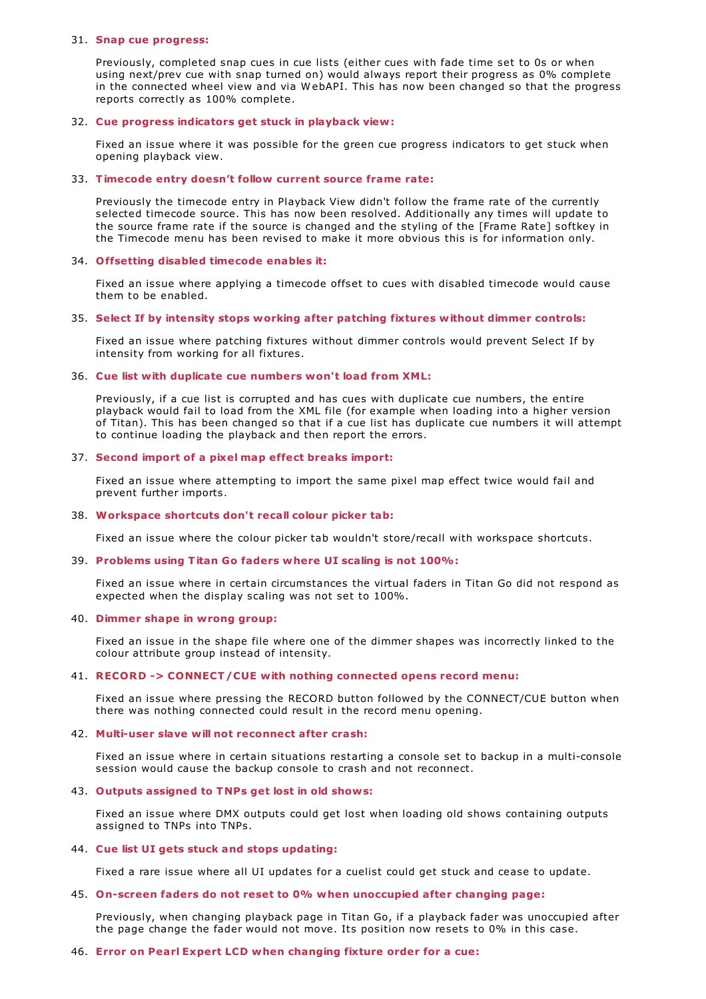#### 31. **Snap cue progress:**

Previously, completed snap cues in cue lists (either cues with fade time set to 0s or when using next/prev cue with snap turned on) would always report their progress as 0% complete in the connected wheel view and via W ebAPI. This has now been changed so that the progress reports correctly as 100% complete.

#### 32. **Cue progress indicators get stuck in playback view:**

Fixed an issue where it was possible for the green cue progress indicators to get stuck when opening playback view.

#### 33. **Timecode entry doesn't follow current source frame rate:**

Previously the timecode entry in Playback View didn't follow the frame rate of the currently selected timecode source. This has now been resolved. Additionally any times will update to the source frame rate if the source is changed and the styling of the [Frame Rate] softkey in the Timecode menu has been revised to make it more obvious this is for information only.

#### 34. **Offsetting disabled timecode enables it:**

Fixed an issue where applying a timecode offset to cues with disabled timecode would cause them to be enabled.

#### 35. **Select If by intensity stops working after patching fixtures without dimmer controls:**

Fixed an issue where patching fixtures without dimmer controls would prevent Select If by intensity from working for all fixtures.

## 36. **Cue list with duplicate cue numbers won't load from XML:**

Previously, if a cue list is corrupted and has cues with duplicate cue numbers, the entire playback would fail to load from the XML file (for example when loading into a higher version of Titan). This has been changed so that if a cue list has duplicate cue numbers it will attempt to continue loading the playback and then report the errors.

#### 37. **Second import of a pixel map effect breaks import:**

Fixed an issue where attempting to import the same pixel map effect twice would fail and prevent further imports.

#### 38. **Workspace shortcuts don't recall colour picker tab:**

Fixed an issue where the colour picker tab wouldn't store/recall with workspace shortcuts.

#### 39. **Problems using Titan Go faders where UI scaling is not 100%:**

Fixed an issue where in certain circumstances the virtual faders in Titan Go did not respond as expected when the display scaling was not set to 100%.

#### 40. **Dimmer shape in wrong group:**

Fixed an issue in the shape file where one of the dimmer shapes was incorrectly linked to the colour attribute group instead of intensity.

## 41. **RECORD -> CONNECT/CUE with nothing connected opens record menu:**

Fixed an issue where pressing the RECORD button followed by the CONNECT/CUE button when there was nothing connected could result in the record menu opening.

## 42. **Multi-user slave will not reconnect after crash:**

Fixed an issue where in certain situations restarting a console set to backup in a multi-console session would cause the backup console to crash and not reconnect.

#### 43. **Outputs assigned to TNPs get lost in old shows:**

Fixed an issue where DMX outputs could get lost when loading old shows containing outputs assigned to TNPs into TNPs.

#### 44. **Cue list UI gets stuck and stops updating:**

Fixed a rare issue where all UI updates for a cuelist could get stuck and cease to update.

#### 45. **On-screen faders do not reset to 0% when unoccupied after changing page:**

Previously, when changing playback page in Titan Go, if a playback fader was unoccupied after the page change the fader would not move. Its position now resets to 0% in this case.

#### 46. **Error on Pearl Expert LCD when changing fixture order for a cue:**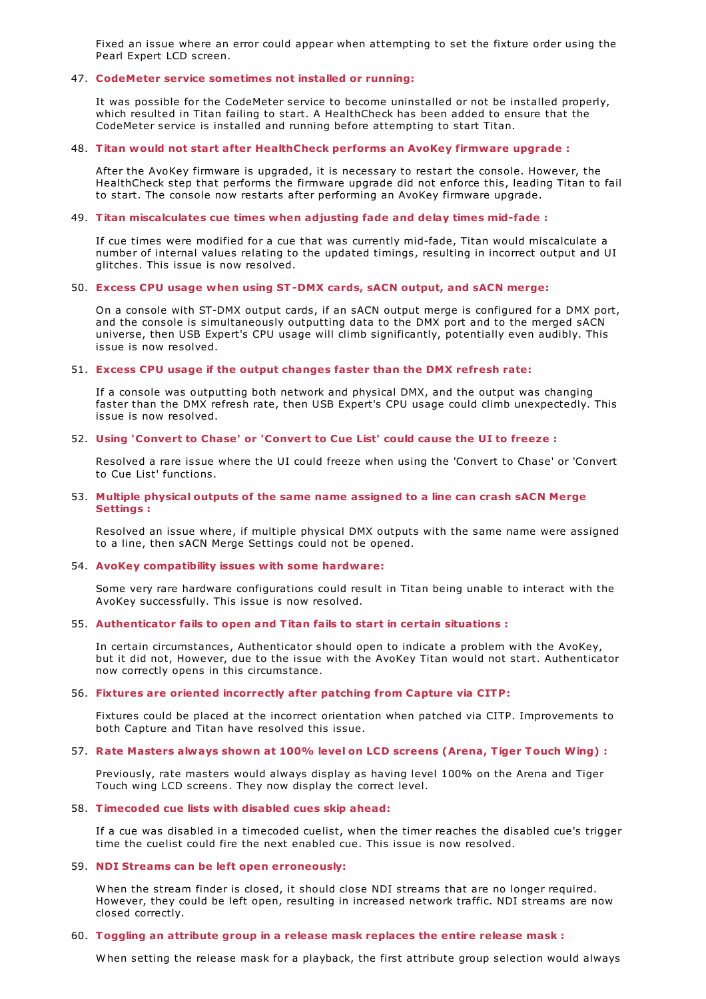Fixed an issue where an error could appear when attempting to set the fixture order using the Pearl Expert LCD screen.

#### 47. **CodeMeter service sometimes not installed or running:**

It was possible for the CodeMeter service to become uninstalled or not be installed properly, which resulted in Titan failing to start. A HealthCheck has been added to ensure that the CodeMeter service is installed and running before attempting to start Titan.

## 48. **Titan would not start after HealthCheck performs an AvoKey firmware upgrade :**

After the AvoKey firmware is upgraded, it is necessary to restart the console. However, the HealthCheck step that performs the firmware upgrade did not enforce this, leading Titan to fail to start. The console now restarts after performing an AvoKey firmware upgrade.

## 49. **Titan miscalculates cue times when adjusting fade and delay times mid-fade :**

If cue times were modified for a cue that was currently mid-fade, Titan would miscalculate a number of internal values relating to the updated timings, resulting in incorrect output and UI glitches. This issue is now resolved.

## 50. **Excess CPU usage when using ST-DMX cards, sACN output, and sACN merge:**

On a console with ST-DMX output cards, if an sACN output merge is configured for a DMX port, and the console is simultaneously outputting data to the DMX port and to the merged sACN universe, then USB Expert's CPU usage will climb significantly, potentially even audibly. This issue is now resolved.

## 51. **Excess CPU usage if the output changes faster than the DMX refresh rate:**

If a console was outputting both network and physical DMX, and the output was changing faster than the DMX refresh rate, then USB Expert's CPU usage could climb unexpectedly. This issue is now resolved.

## 52. **Using 'Convert to Chase' or 'Convert to Cue List' could cause the UI to freeze :**

Resolved a rare issue where the UI could freeze when using the 'Convert to Chase' or 'Convert to Cue List' functions.

## 53. **Multiple physical outputs of the same name assigned to a line can crash sACN Merge Settings :**

Resolved an issue where, if multiple physical DMX outputs with the same name were assigned to a line, then sACN Merge Settings could not be opened.

## 54. **AvoKey compatibility issues with some hardware:**

Some very rare hardware configurations could result in Titan being unable to interact with the AvoKey successfully. This issue is now resolved.

## 55. **Authenticator fails to open and Titan fails to start in certain situations :**

In certain circumstances, Authenticator should open to indicate a problem with the AvoKey, but it did not, However, due to the issue with the AvoKey Titan would not start. Authenticator now correctly opens in this circumstance.

## 56. **Fixtures are oriented incorrectly after patching from Capture via CITP:**

Fixtures could be placed at the incorrect orientation when patched via CITP. Improvements to both Capture and Titan have resolved this issue.

## 57. **Rate Masters always shown at 100% level on LCD screens (Arena, Tiger Touch Wing) :**

Previously, rate masters would always display as having level 100% on the Arena and Tiger Touch wing LCD screens. They now display the correct level.

#### 58. **Timecoded cue lists with disabled cues skip ahead:**

If a cue was disabled in a timecoded cuelist, when the timer reaches the disabled cue's trigger time the cuelist could fire the next enabled cue. This issue is now resolved.

## 59. **NDI Streams can be left open erroneously:**

W hen the stream finder is closed, it should close NDI streams that are no longer required. However, they could be left open, resulting in increased network traffic. NDI streams are now closed correctly.

#### 60. **Toggling an attribute group in a release mask replaces the entire release mask :**

W hen setting the release mask for a playback, the first attribute group selection would always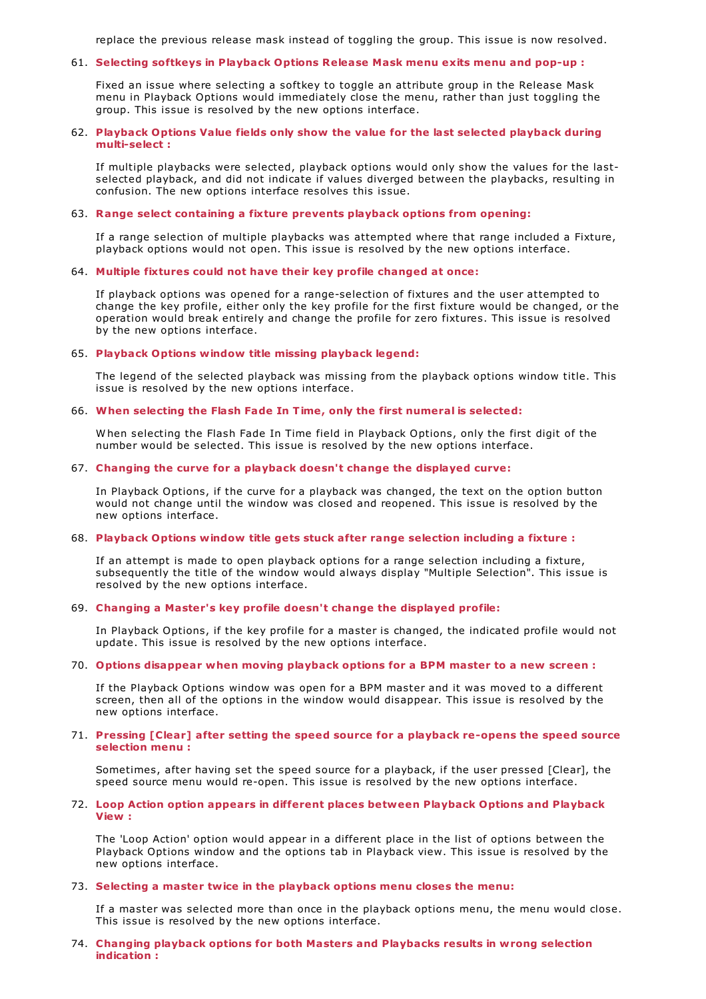replace the previous release mask instead of toggling the group. This issue is now resolved.

## 61. **Selecting softkeys in Playback Options Release Mask menu exits menu and pop-up :**

Fixed an issue where selecting a softkey to toggle an attribute group in the Release Mask menu in Playback Options would immediately close the menu, rather than just toggling the group. This issue is resolved by the new options interface.

## 62. **Playback Options Value fields only show the value for the last selected playback during multi-select :**

If multiple playbacks were selected, playback options would only show the values for the lastselected playback, and did not indicate if values diverged between the playbacks, resulting in confusion. The new options interface resolves this issue.

## 63. **Range select containing a fixture prevents playback options from opening:**

If a range selection of multiple playbacks was attempted where that range included a Fixture, playback options would not open. This issue is resolved by the new options interface.

## 64. **Multiple fixtures could not have their key profile changed at once:**

If playback options was opened for a range-selection of fixtures and the user attempted to change the key profile, either only the key profile for the first fixture would be changed, or the operation would break entirely and change the profile for zero fixtures. This issue is resolved by the new options interface.

## 65. **Playback Options window title missing playback legend:**

The legend of the selected playback was missing from the playback options window title. This issue is resolved by the new options interface.

#### 66. **When selecting the Flash Fade In Time, only the first numeral is selected:**

W hen selecting the Flash Fade In Time field in Playback Options, only the first digit of the number would be selected. This issue is resolved by the new options interface.

#### 67. **Changing the curve for a playback doesn't change the displayed curve:**

In Playback Options, if the curve for a playback was changed, the text on the option button would not change until the window was closed and reopened. This issue is resolved by the new options interface.

#### 68. **Playback Options window title gets stuck after range selection including a fixture :**

If an attempt is made to open playback options for a range selection including a fixture, subsequently the title of the window would always display "Multiple Selection". This issue is resolved by the new options interface.

## 69. **Changing a Master's key profile doesn't change the displayed profile:**

In Playback Options, if the key profile for a master is changed, the indicated profile would not update. This issue is resolved by the new options interface.

#### 70. **Options disappear when moving playback options for a BPM master to a new screen :**

If the Playback Options window was open for a BPM master and it was moved to a different screen, then all of the options in the window would disappear. This issue is resolved by the new options interface.

#### 71. **Pressing [Clear] after setting the speed source for a playback re-opens the speed source selection menu :**

Sometimes, after having set the speed source for a playback, if the user pressed [Clear], the speed source menu would re-open. This issue is resolved by the new options interface.

#### 72. **Loop Action option appears in different places between Playback Options and Playback View :**

The 'Loop Action' option would appear in a different place in the list of options between the Playback Options window and the options tab in Playback view. This issue is resolved by the new options interface.

## 73. **Selecting a master twice in the playback options menu closes the menu:**

If a master was selected more than once in the playback options menu, the menu would close. This issue is resolved by the new options interface.

## 74. **Changing playback options for both Masters and Playbacks results in wrong selection indication :**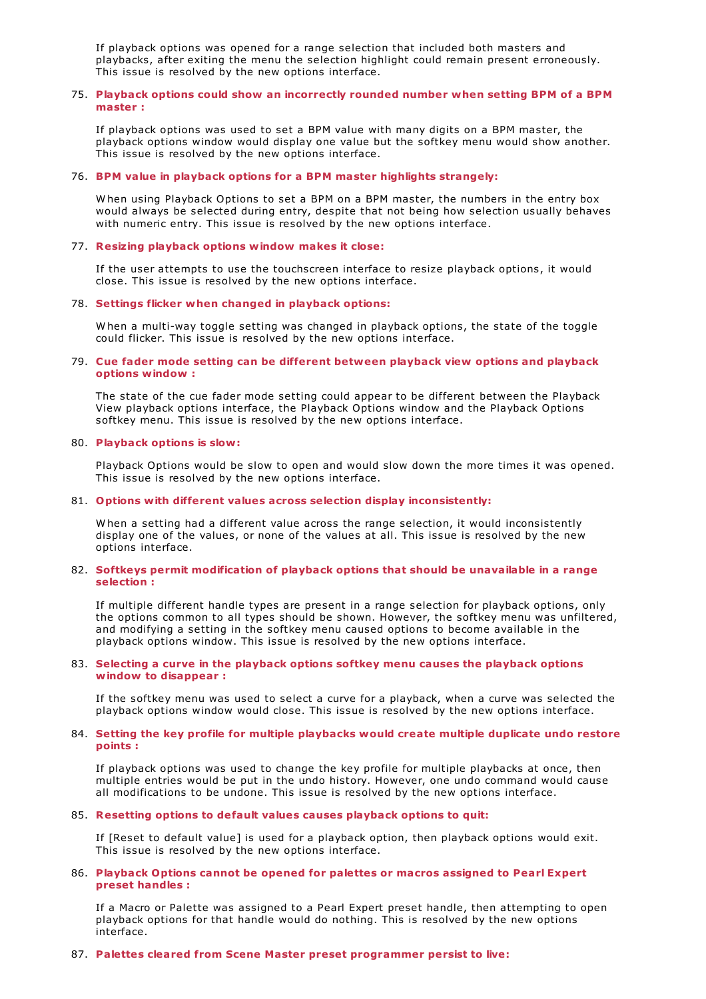If playback options was opened for a range selection that included both masters and playbacks, after exiting the menu the selection highlight could remain present erroneously. This issue is resolved by the new options interface.

## 75. **Playback options could show an incorrectly rounded number when setting BPM of a BPM master :**

If playback options was used to set a BPM value with many digits on a BPM master, the playback options window would display one value but the softkey menu would show another. This issue is resolved by the new options interface.

## 76. **BPM value in playback options for a BPM master highlights strangely:**

W hen using Playback Options to set a BPM on a BPM master, the numbers in the entry box would always be selected during entry, despite that not being how selection usually behaves with numeric entry. This issue is resolved by the new options interface.

## 77. **Resizing playback options window makes it close:**

If the user attempts to use the touchscreen interface to resize playback options, it would close. This issue is resolved by the new options interface.

## 78. **Settings flicker when changed in playback options:**

W hen a multi-way toggle setting was changed in playback options, the state of the toggle could flicker. This issue is resolved by the new options interface.

## 79. **Cue fader mode setting can be different between playback view options and playback options window :**

The state of the cue fader mode setting could appear to be different between the Playback View playback options interface, the Playback Options window and the Playback Options softkey menu. This issue is resolved by the new options interface.

#### 80. **Playback options is slow:**

Playback Options would be slow to open and would slow down the more times it was opened. This issue is resolved by the new options interface.

## 81. **Options with different values across selection display inconsistently:**

W hen a setting had a different value across the range selection, it would inconsistently display one of the values, or none of the values at all. This issue is resolved by the new options interface.

## 82. **Softkeys permit modification of playback options that should be unavailable in a range selection :**

If multiple different handle types are present in a range selection for playback options, only the options common to all types should be shown. However, the softkey menu was unfiltered, and modifying a setting in the softkey menu caused options to become available in the playback options window. This issue is resolved by the new options interface.

#### 83. **Selecting a curve in the playback options softkey menu causes the playback options window to disappear :**

If the softkey menu was used to select a curve for a playback, when a curve was selected the playback options window would close. This issue is resolved by the new options interface.

## 84. **Setting the key profile for multiple playbacks would create multiple duplicate undo restore points :**

If playback options was used to change the key profile for multiple playbacks at once, then multiple entries would be put in the undo history. However, one undo command would cause all modifications to be undone. This issue is resolved by the new options interface.

## 85. **Resetting options to default values causes playback options to quit:**

If [Reset to default value] is used for a playback option, then playback options would exit. This issue is resolved by the new options interface.

#### 86. **Playback Options cannot be opened for palettes or macros assigned to Pearl Expert preset handles :**

If a Macro or Palette was assigned to a Pearl Expert preset handle, then attempting to open playback options for that handle would do nothing. This is resolved by the new options interface.

#### 87. **Palettes cleared from Scene Master preset programmer persist to live:**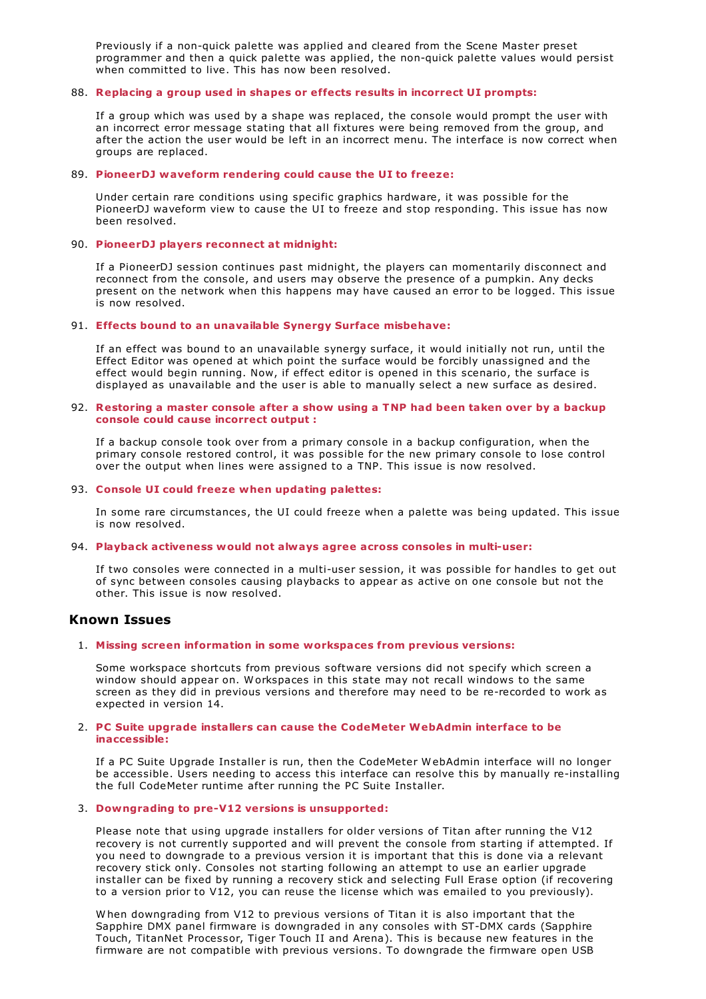Previously if a non-quick palette was applied and cleared from the Scene Master preset programmer and then a quick palette was applied, the non-quick palette values would persist when committed to live. This has now been resolved.

## 88. **Replacing a group used in shapes or effects results in incorrect UI prompts:**

If a group which was used by a shape was replaced, the console would prompt the user with an incorrect error message stating that all fixtures were being removed from the group, and after the action the user would be left in an incorrect menu. The interface is now correct when groups are replaced.

## 89. **PioneerDJ waveform rendering could cause the UI to freeze:**

Under certain rare conditions using specific graphics hardware, it was possible for the PioneerDJ waveform view to cause the UI to freeze and stop responding. This issue has now been resolved.

## 90. **PioneerDJ players reconnect at midnight:**

If a PioneerDJ session continues past midnight, the players can momentarily disconnect and reconnect from the console, and users may observe the presence of a pumpkin. Any decks present on the network when this happens may have caused an error to be logged. This issue is now resolved.

## 91. **Effects bound to an unavailable Synergy Surface misbehave:**

If an effect was bound to an unavailable synergy surface, it would initially not run, until the Effect Editor was opened at which point the surface would be forcibly unassigned and the effect would begin running. Now, if effect editor is opened in this scenario, the surface is displayed as unavailable and the user is able to manually select a new surface as desired.

## 92. **Restoring a master console after a show using a TNP had been taken over by a backup console could cause incorrect output :**

If a backup console took over from a primary console in a backup configuration, when the primary console restored control, it was possible for the new primary console to lose control over the output when lines were assigned to a TNP. This issue is now resolved.

## 93. **Console UI could freeze when updating palettes:**

In some rare circumstances, the UI could freeze when a palette was being updated. This issue is now resolved.

## 94. **Playback activeness would not always agree across consoles in multi-user:**

If two consoles were connected in a multi-user session, it was possible for handles to get out of sync between consoles causing playbacks to appear as active on one console but not the other. This issue is now resolved.

# **Known Issues**

## 1. **Missing screen information in some workspaces from previous versions:**

Some workspace shortcuts from previous software versions did not specify which screen a window should appear on. W orkspaces in this state may not recall windows to the same screen as they did in previous versions and therefore may need to be re-recorded to work as expected in version 14.

## 2. **PC Suite upgrade installers can cause the CodeMeter WebAdmin interface to be inaccessible:**

If a PC Suite Upgrade Installer is run, then the CodeMeter W ebAdmin interface will no longer be accessible. Users needing to access this interface can resolve this by manually re-installing the full CodeMeter runtime after running the PC Suite Installer.

## 3. **Downgrading to pre-V12 versions is unsupported:**

Please note that using upgrade installers for older versions of Titan after running the V12 recovery is not currently supported and will prevent the console from starting if attempted. If you need to downgrade to a previous version it is important that this is done via a relevant recovery stick only. Consoles not starting following an attempt to use an earlier upgrade installer can be fixed by running a recovery stick and selecting Full Erase option (if recovering to a version prior to V12, you can reuse the license which was emailed to you previously).

W hen downgrading from V12 to previous versions of Titan it is also important that the Sapphire DMX panel firmware is downgraded in any consoles with ST-DMX cards (Sapphire Touch, TitanNet Processor, Tiger Touch II and Arena). This is because new features in the firmware are not compatible with previous versions. To downgrade the firmware open USB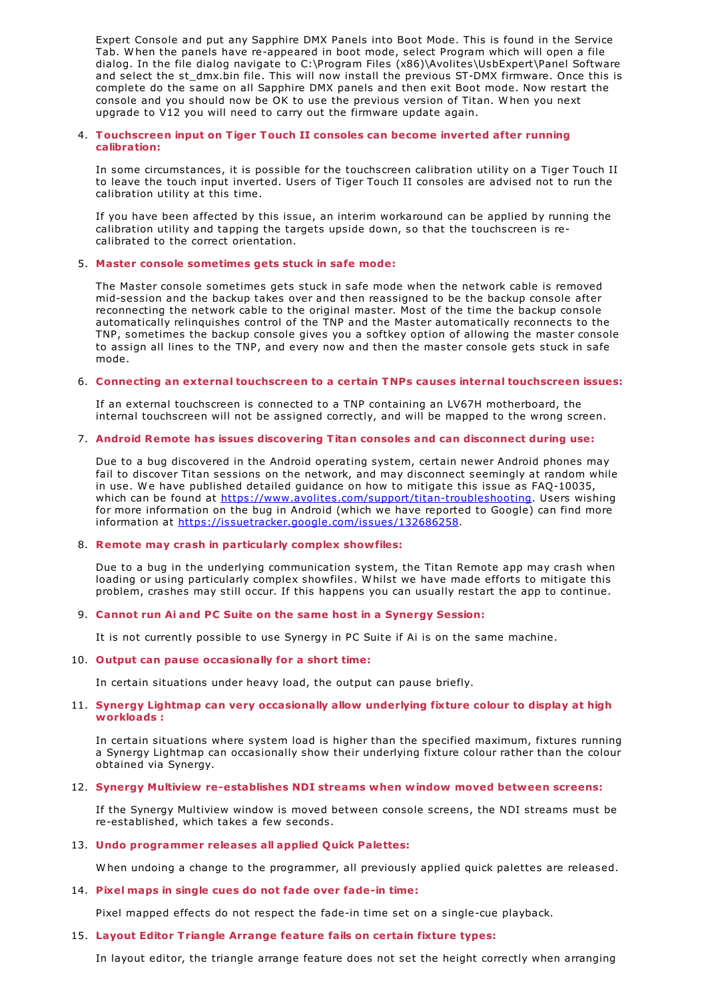Expert Console and put any Sapphire DMX Panels into Boot Mode. This is found in the Service Tab. W hen the panels have re-appeared in boot mode, select Program which will open a file dialog. In the file dialog navigate to C:\Program Files (x86)\Avolites\UsbExpert\Panel Software and select the st\_dmx.bin file. This will now install the previous ST-DMX firmware. Once this is complete do the same on all Sapphire DMX panels and then exit Boot mode. Now restart the console and you should now be OK to use the previous version of Titan. W hen you next upgrade to V12 you will need to carry out the firmware update again.

## 4. **Touchscreen input on Tiger Touch II consoles can become inverted after running calibration:**

In some circumstances, it is possible for the touchscreen calibration utility on a Tiger Touch II to leave the touch input inverted. Users of Tiger Touch II consoles are advised not to run the calibration utility at this time.

If you have been affected by this issue, an interim workaround can be applied by running the calibration utility and tapping the targets upside down, so that the touchscreen is recalibrated to the correct orientation.

## 5. **Master console sometimes gets stuck in safe mode:**

The Master console sometimes gets stuck in safe mode when the network cable is removed mid-session and the backup takes over and then reassigned to be the backup console after reconnecting the network cable to the original master. Most of the time the backup console automatically relinquishes control of the TNP and the Master automatically reconnects to the TNP, sometimes the backup console gives you a softkey option of allowing the master console to assign all lines to the TNP, and every now and then the master console gets stuck in safe mode.

## 6. **Connecting an external touchscreen to a certain TNPs causes internal touchscreen issues:**

If an external touchscreen is connected to a TNP containing an LV67H motherboard, the internal touchscreen will not be assigned correctly, and will be mapped to the wrong screen.

## 7. **Android Remote has issues discovering Titan consoles and can disconnect during use:**

Due to a bug discovered in the Android operating system, certain newer Android phones may fail to discover Titan sessions on the network, and may disconnect seemingly at random while in use. W e have published detailed guidance on how to mitigate this issue as FAQ-10035, which can be found at <https://www.avolites.com/support/titan-troubleshooting>. Users wishing for more information on the bug in Android (which we have reported to Google) can find more information at <https://issuetracker.google.com/issues/132686258>.

## 8. **Remote may crash in particularly complex showfiles:**

Due to a bug in the underlying communication system, the Titan Remote app may crash when loading or using particularly complex showfiles. W hilst we have made efforts to mitigate this problem, crashes may still occur. If this happens you can usually restart the app to continue.

## 9. **Cannot run Ai and PC Suite on the same host in a Synergy Session:**

It is not currently possible to use Synergy in PC Suite if Ai is on the same machine.

## 10. **Output can pause occasionally for a short time:**

In certain situations under heavy load, the output can pause briefly.

## 11. **Synergy Lightmap can very occasionally allow underlying fixture colour to display at high workloads :**

In certain situations where system load is higher than the specified maximum, fixtures running a Synergy Lightmap can occasionally show their underlying fixture colour rather than the colour obtained via Synergy.

# 12. **Synergy Multiview re-establishes NDI streams when window moved between screens:**

If the Synergy Multiview window is moved between console screens, the NDI streams must be re-established, which takes a few seconds.

## 13. **Undo programmer releases all applied Quick Palettes:**

W hen undoing a change to the programmer, all previously applied quick palettes are released.

## 14. **Pixel maps in single cues do not fade over fade-in time:**

Pixel mapped effects do not respect the fade-in time set on a single-cue playback.

## 15. **Layout Editor Triangle Arrange feature fails on certain fixture types:**

In layout editor, the triangle arrange feature does not set the height correctly when arranging